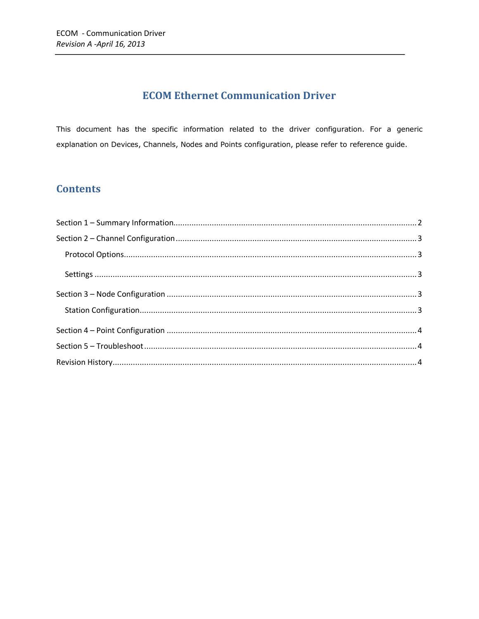# **ECOM Ethernet Communication Driver**

This document has the specific information related to the driver configuration. For a generic explanation on Devices, Channels, Nodes and Points configuration, please refer to reference guide.

### **Contents**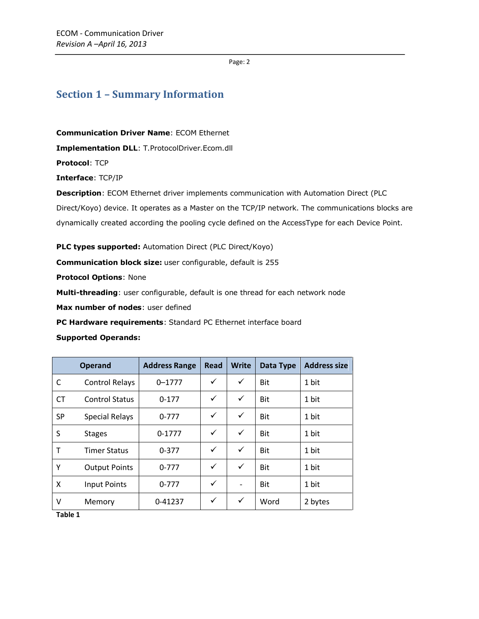Page: 2

### <span id="page-1-0"></span>**Section 1 – Summary Information**

**Communication Driver Name**: ECOM Ethernet

**Implementation DLL**: T.ProtocolDriver.Ecom.dll

**Protocol**: TCP

**Interface**: TCP/IP

**Description**: ECOM Ethernet driver implements communication with Automation Direct (PLC

Direct/Koyo) device. It operates as a Master on the TCP/IP network. The communications blocks are

dynamically created according the pooling cycle defined on the AccessType for each Device Point.

**PLC types supported:** Automation Direct (PLC Direct/Koyo)

**Communication block size:** user configurable, default is 255

**Protocol Options**: None

**Multi-threading**: user configurable, default is one thread for each network node

**Max number of nodes**: user defined

**PC Hardware requirements**: Standard PC Ethernet interface board

#### **Supported Operands:**

|           | <b>Operand</b>        | <b>Address Range</b> | Read | <b>Write</b> | Data Type  | <b>Address size</b> |
|-----------|-----------------------|----------------------|------|--------------|------------|---------------------|
| C         | <b>Control Relays</b> | $0 - 1777$           | ✓    | ✓            | Bit        | 1 bit               |
| <b>CT</b> | <b>Control Status</b> | $0-177$              | ✓    | $\checkmark$ | <b>Bit</b> | 1 bit               |
| <b>SP</b> | <b>Special Relays</b> | $0 - 777$            | ✓    | ✓            | Bit        | 1 bit               |
| S         | <b>Stages</b>         | $0 - 1777$           | ✓    | ✓            | Bit        | 1 bit               |
| Τ         | <b>Timer Status</b>   | $0 - 377$            | ✓    | $\checkmark$ | <b>Bit</b> | 1 bit               |
| Υ         | <b>Output Points</b>  | $0 - 777$            | ✓    | $\checkmark$ | <b>Bit</b> | 1 bit               |
| X         | <b>Input Points</b>   | $0 - 777$            | ✓    |              | Bit        | 1 bit               |
| v         | Memory                | 0-41237              | ✓    | ✓            | Word       | 2 bytes             |

<span id="page-1-1"></span>**Table 1**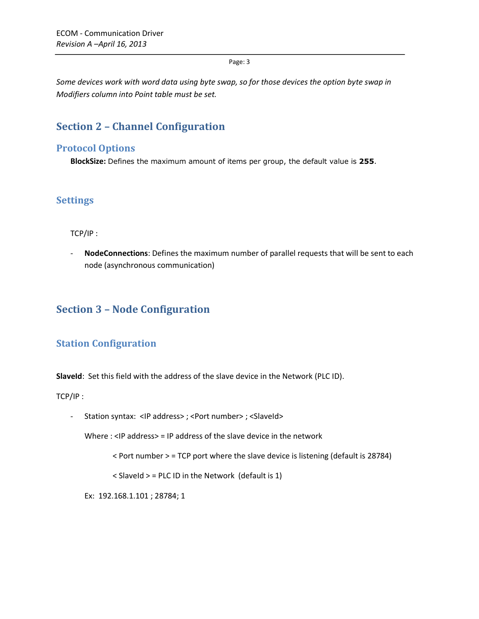Page: 3

*Some devices work with word data using byte swap, so for those devices the option byte swap in Modifiers column into Point table must be set.*

# <span id="page-2-0"></span>**Section 2 – Channel Configuration**

### <span id="page-2-1"></span>**Protocol Options**

**BlockSize:** Defines the maximum amount of items per group, the default value is **255**.

### <span id="page-2-2"></span>**Settings**

TCP/IP :

- **NodeConnections**: Defines the maximum number of parallel requests that will be sent to each node (asynchronous communication)

# <span id="page-2-3"></span>**Section 3 – Node Configuration**

### <span id="page-2-4"></span>**Station Configuration**

**SlaveId**: Set this field with the address of the slave device in the Network (PLC ID).

TCP/IP :

- Station syntax: <IP address>; <Port number>; <SlaveId>

Where : <IP address> = IP address of the slave device in the network

< Port number > = TCP port where the slave device is listening (default is 28784)

 $<$  SlaveId  $>$  = PLC ID in the Network (default is 1)

Ex: 192.168.1.101 ; 28784; 1